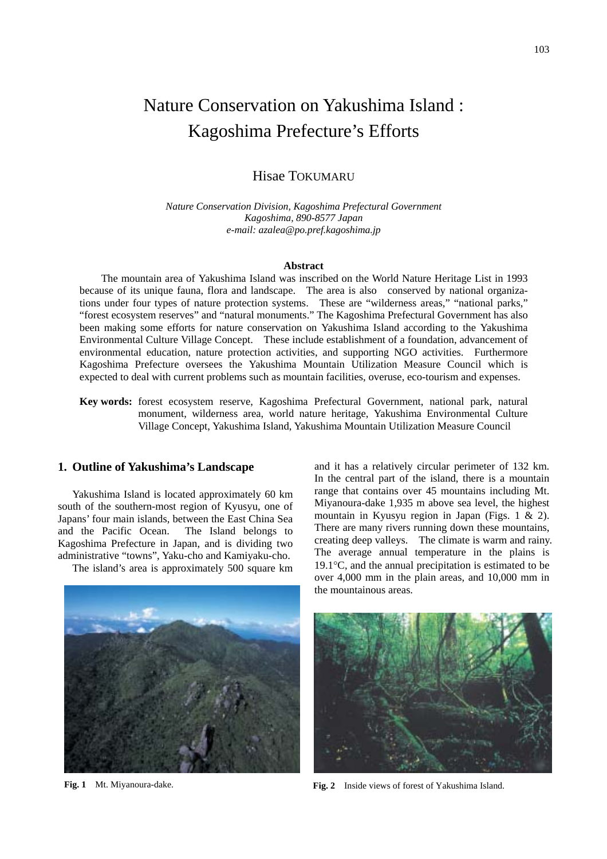# Nature Conservation on Yakushima Island : Kagoshima Prefecture's Efforts

## Hisae TOKUMARU

*Nature Conservation Division, Kagoshima Prefectural Government Kagoshima, 890-8577 Japan e-mail: azalea@po.pref.kagoshima.jp* 

#### **Abstract**

The mountain area of Yakushima Island was inscribed on the World Nature Heritage List in 1993 because of its unique fauna, flora and landscape. The area is also conserved by national organizations under four types of nature protection systems. These are "wilderness areas," "national parks," "forest ecosystem reserves" and "natural monuments." The Kagoshima Prefectural Government has also been making some efforts for nature conservation on Yakushima Island according to the Yakushima Environmental Culture Village Concept. These include establishment of a foundation, advancement of environmental education, nature protection activities, and supporting NGO activities. Furthermore Kagoshima Prefecture oversees the Yakushima Mountain Utilization Measure Council which is expected to deal with current problems such as mountain facilities, overuse, eco-tourism and expenses.

**Key words:** forest ecosystem reserve, Kagoshima Prefectural Government, national park, natural monument, wilderness area, world nature heritage, Yakushima Environmental Culture Village Concept, Yakushima Island, Yakushima Mountain Utilization Measure Council

#### **1. Outline of Yakushima's Landscape**

Yakushima Island is located approximately 60 km south of the southern-most region of Kyusyu, one of Japans' four main islands, between the East China Sea and the Pacific Ocean. The Island belongs to Kagoshima Prefecture in Japan, and is dividing two administrative "towns", Yaku-cho and Kamiyaku-cho.

The island's area is approximately 500 square km



and it has a relatively circular perimeter of 132 km. In the central part of the island, there is a mountain range that contains over 45 mountains including Mt. Miyanoura-dake 1,935 m above sea level, the highest mountain in Kyusyu region in Japan (Figs. 1 & 2). There are many rivers running down these mountains, creating deep valleys. The climate is warm and rainy. The average annual temperature in the plains is 19.1°C, and the annual precipitation is estimated to be over 4,000 mm in the plain areas, and 10,000 mm in the mountainous areas.



**Fig. 1** Mt. Miyanoura-dake. **Fig. 2** Inside views of forest of Yakushima Island.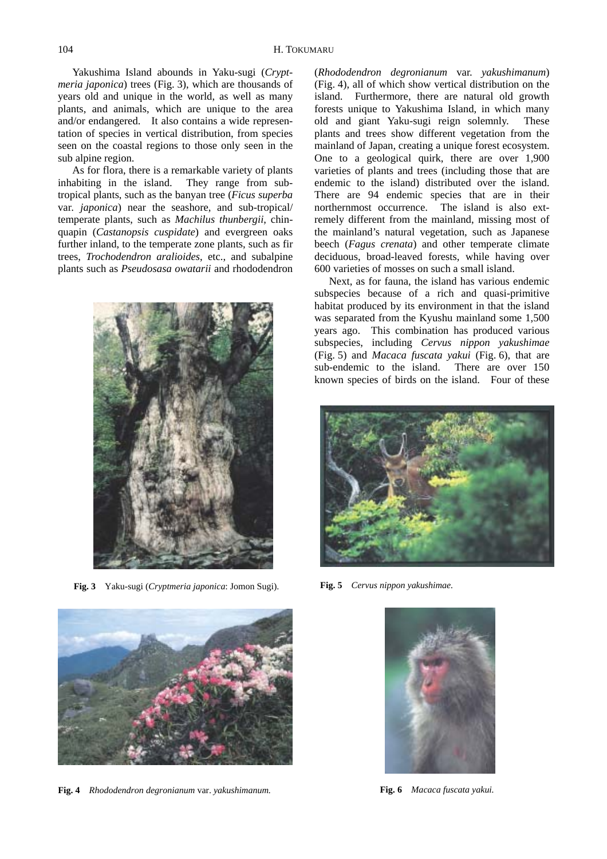Yakushima Island abounds in Yaku-sugi (*Cryptmeria japonica*) trees (Fig. 3), which are thousands of years old and unique in the world, as well as many plants, and animals, which are unique to the area and/or endangered. It also contains a wide representation of species in vertical distribution, from species seen on the coastal regions to those only seen in the sub alpine region.

As for flora, there is a remarkable variety of plants inhabiting in the island. They range from subtropical plants, such as the banyan tree (*Ficus superba* var*. japonica*) near the seashore, and sub-tropical/ temperate plants, such as *Machilus thunbergii*, chinquapin (*Castanopsis cuspidate*) and evergreen oaks further inland, to the temperate zone plants, such as fir trees, *Trochodendron aralioides*, etc., and subalpine plants such as *Pseudosasa owatarii* and rhododendron



**Fig. 3** Yaku-sugi (*Cryptmeria japonica*: Jomon Sugi).



**Fig. 4** *Rhododendron degronianum* var. *yakushimanum.*

(*Rhododendron degronianum* var. *yakushimanum*) (Fig. 4), all of which show vertical distribution on the island. Furthermore, there are natural old growth forests unique to Yakushima Island, in which many old and giant Yaku-sugi reign solemnly. These plants and trees show different vegetation from the mainland of Japan, creating a unique forest ecosystem. One to a geological quirk, there are over 1,900 varieties of plants and trees (including those that are endemic to the island) distributed over the island. There are 94 endemic species that are in their northernmost occurrence. The island is also extremely different from the mainland, missing most of the mainland's natural vegetation, such as Japanese beech (*Fagus crenata*) and other temperate climate deciduous, broad-leaved forests, while having over 600 varieties of mosses on such a small island.

Next, as for fauna, the island has various endemic subspecies because of a rich and quasi-primitive habitat produced by its environment in that the island was separated from the Kyushu mainland some 1,500 years ago. This combination has produced various subspecies, including *Cervus nippon yakushimae*  (Fig. 5) and *Macaca fuscata yakui* (Fig. 6), that are sub-endemic to the island. There are over 150 known species of birds on the island. Four of these



**Fig. 5** *Cervus nippon yakushimae.*



**Fig. 6** *Macaca fuscata yakui.*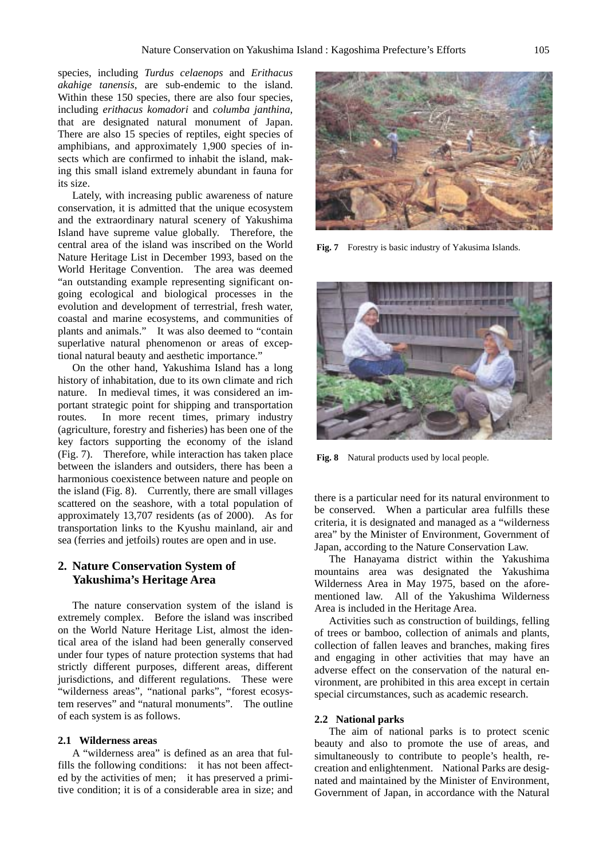species, including *Turdus celaenops* and *Erithacus akahige tanensis*, are sub-endemic to the island. Within these 150 species, there are also four species, including *erithacus komadori* and *columba janthina*, that are designated natural monument of Japan. There are also 15 species of reptiles, eight species of amphibians, and approximately 1,900 species of insects which are confirmed to inhabit the island, making this small island extremely abundant in fauna for its size.

Lately, with increasing public awareness of nature conservation, it is admitted that the unique ecosystem and the extraordinary natural scenery of Yakushima Island have supreme value globally. Therefore, the central area of the island was inscribed on the World Nature Heritage List in December 1993, based on the World Heritage Convention. The area was deemed "an outstanding example representing significant ongoing ecological and biological processes in the evolution and development of terrestrial, fresh water, coastal and marine ecosystems, and communities of plants and animals." It was also deemed to "contain superlative natural phenomenon or areas of exceptional natural beauty and aesthetic importance."

On the other hand, Yakushima Island has a long history of inhabitation, due to its own climate and rich nature. In medieval times, it was considered an important strategic point for shipping and transportation routes. In more recent times, primary industry (agriculture, forestry and fisheries) has been one of the key factors supporting the economy of the island (Fig. 7). Therefore, while interaction has taken place between the islanders and outsiders, there has been a harmonious coexistence between nature and people on the island (Fig. 8). Currently, there are small villages scattered on the seashore, with a total population of approximately 13,707 residents (as of 2000). As for transportation links to the Kyushu mainland, air and sea (ferries and jetfoils) routes are open and in use.

## **2. Nature Conservation System of Yakushima's Heritage Area**

The nature conservation system of the island is extremely complex. Before the island was inscribed on the World Nature Heritage List, almost the identical area of the island had been generally conserved under four types of nature protection systems that had strictly different purposes, different areas, different jurisdictions, and different regulations. These were "wilderness areas", "national parks", "forest ecosystem reserves" and "natural monuments". The outline of each system is as follows.

#### **2.1 Wilderness areas**

A "wilderness area" is defined as an area that fulfills the following conditions: it has not been affected by the activities of men; it has preserved a primitive condition; it is of a considerable area in size; and



**Fig. 7** Forestry is basic industry of Yakusima Islands.



**Fig. 8** Natural products used by local people.

there is a particular need for its natural environment to be conserved. When a particular area fulfills these criteria, it is designated and managed as a "wilderness area" by the Minister of Environment, Government of Japan, according to the Nature Conservation Law.

The Hanayama district within the Yakushima mountains area was designated the Yakushima Wilderness Area in May 1975, based on the aforementioned law. All of the Yakushima Wilderness Area is included in the Heritage Area.

Activities such as construction of buildings, felling of trees or bamboo, collection of animals and plants, collection of fallen leaves and branches, making fires and engaging in other activities that may have an adverse effect on the conservation of the natural environment, are prohibited in this area except in certain special circumstances, such as academic research.

#### **2.2 National parks**

The aim of national parks is to protect scenic beauty and also to promote the use of areas, and simultaneously to contribute to people's health, recreation and enlightenment. National Parks are designated and maintained by the Minister of Environment, Government of Japan, in accordance with the Natural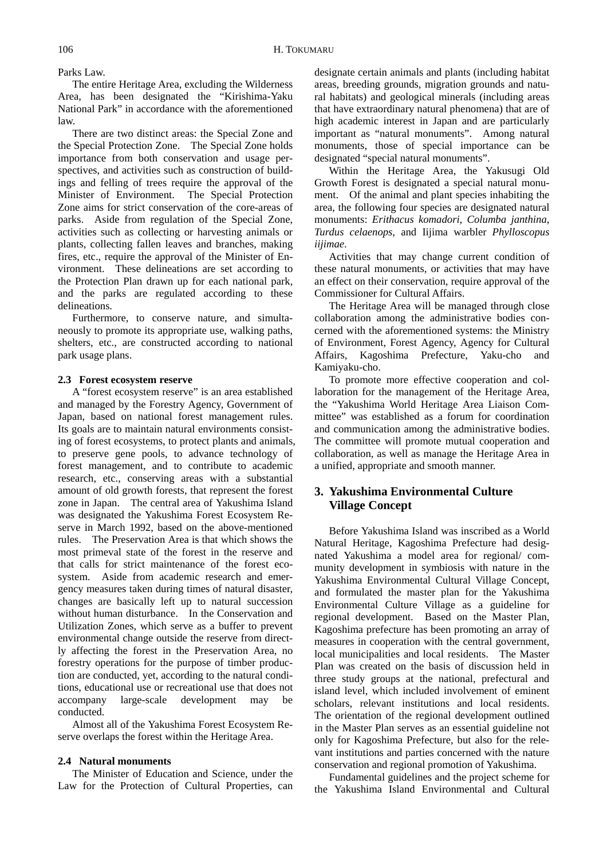Parks Law.

The entire Heritage Area, excluding the Wilderness Area, has been designated the "Kirishima-Yaku National Park" in accordance with the aforementioned law.

There are two distinct areas: the Special Zone and the Special Protection Zone. The Special Zone holds importance from both conservation and usage perspectives, and activities such as construction of buildings and felling of trees require the approval of the Minister of Environment. The Special Protection Zone aims for strict conservation of the core-areas of parks. Aside from regulation of the Special Zone, activities such as collecting or harvesting animals or plants, collecting fallen leaves and branches, making fires, etc., require the approval of the Minister of Environment. These delineations are set according to the Protection Plan drawn up for each national park, and the parks are regulated according to these delineations.

Furthermore, to conserve nature, and simultaneously to promote its appropriate use, walking paths, shelters, etc., are constructed according to national park usage plans.

#### **2.3 Forest ecosystem reserve**

A "forest ecosystem reserve" is an area established and managed by the Forestry Agency, Government of Japan, based on national forest management rules. Its goals are to maintain natural environments consisting of forest ecosystems, to protect plants and animals, to preserve gene pools, to advance technology of forest management, and to contribute to academic research, etc., conserving areas with a substantial amount of old growth forests, that represent the forest zone in Japan. The central area of Yakushima Island was designated the Yakushima Forest Ecosystem Reserve in March 1992, based on the above-mentioned rules. The Preservation Area is that which shows the most primeval state of the forest in the reserve and that calls for strict maintenance of the forest ecosystem. Aside from academic research and emergency measures taken during times of natural disaster, changes are basically left up to natural succession without human disturbance. In the Conservation and Utilization Zones, which serve as a buffer to prevent environmental change outside the reserve from directly affecting the forest in the Preservation Area, no forestry operations for the purpose of timber production are conducted, yet, according to the natural conditions, educational use or recreational use that does not accompany large-scale development may be conducted.

Almost all of the Yakushima Forest Ecosystem Reserve overlaps the forest within the Heritage Area.

#### **2.4 Natural monuments**

The Minister of Education and Science, under the Law for the Protection of Cultural Properties, can designate certain animals and plants (including habitat areas, breeding grounds, migration grounds and natural habitats) and geological minerals (including areas that have extraordinary natural phenomena) that are of high academic interest in Japan and are particularly important as "natural monuments". Among natural monuments, those of special importance can be designated "special natural monuments".

Within the Heritage Area, the Yakusugi Old Growth Forest is designated a special natural monument. Of the animal and plant species inhabiting the area, the following four species are designated natural monuments: *Erithacus komadori*, *Columba janthina*, *Turdus celaenops*, and Iijima warbler *Phylloscopus iijimae*.

Activities that may change current condition of these natural monuments, or activities that may have an effect on their conservation, require approval of the Commissioner for Cultural Affairs.

The Heritage Area will be managed through close collaboration among the administrative bodies concerned with the aforementioned systems: the Ministry of Environment, Forest Agency, Agency for Cultural Affairs, Kagoshima Prefecture, Yaku-cho Kamiyaku-cho.

To promote more effective cooperation and collaboration for the management of the Heritage Area, the "Yakushima World Heritage Area Liaison Committee" was established as a forum for coordination and communication among the administrative bodies. The committee will promote mutual cooperation and collaboration, as well as manage the Heritage Area in a unified, appropriate and smooth manner.

## **3. Yakushima Environmental Culture Village Concept**

Before Yakushima Island was inscribed as a World Natural Heritage, Kagoshima Prefecture had designated Yakushima a model area for regional/ community development in symbiosis with nature in the Yakushima Environmental Cultural Village Concept, and formulated the master plan for the Yakushima Environmental Culture Village as a guideline for regional development. Based on the Master Plan, Kagoshima prefecture has been promoting an array of measures in cooperation with the central government, local municipalities and local residents. The Master Plan was created on the basis of discussion held in three study groups at the national, prefectural and island level, which included involvement of eminent scholars, relevant institutions and local residents. The orientation of the regional development outlined in the Master Plan serves as an essential guideline not only for Kagoshima Prefecture, but also for the relevant institutions and parties concerned with the nature conservation and regional promotion of Yakushima.

Fundamental guidelines and the project scheme for the Yakushima Island Environmental and Cultural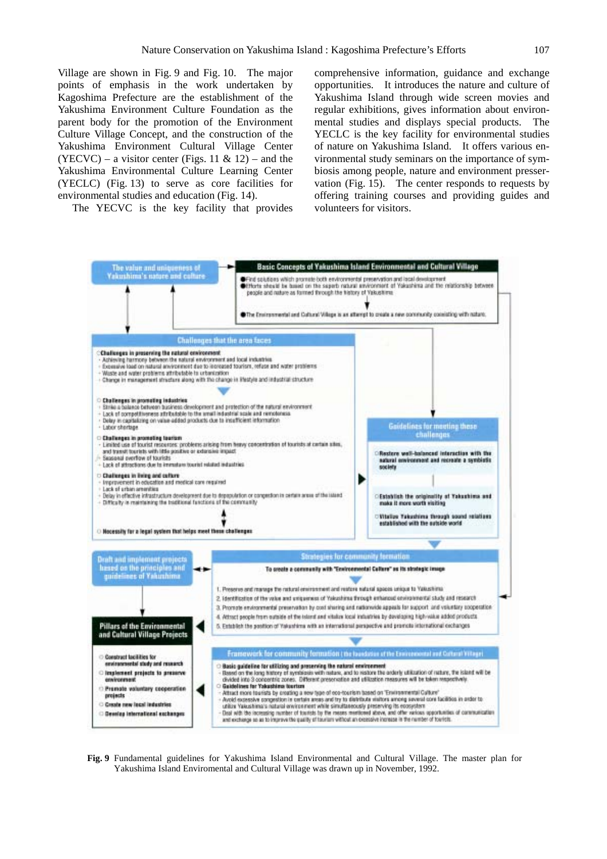Village are shown in Fig. 9 and Fig. 10. The major points of emphasis in the work undertaken by Kagoshima Prefecture are the establishment of the Yakushima Environment Culture Foundation as the parent body for the promotion of the Environment Culture Village Concept, and the construction of the Yakushima Environment Cultural Village Center  $(YECVC)$  – a visitor center (Figs. 11 & 12) – and the Yakushima Environmental Culture Learning Center (YECLC) (Fig. 13) to serve as core facilities for environmental studies and education (Fig. 14).

The YECVC is the key facility that provides

comprehensive information, guidance and exchange opportunities. It introduces the nature and culture of Yakushima Island through wide screen movies and regular exhibitions, gives information about environmental studies and displays special products. The YECLC is the key facility for environmental studies of nature on Yakushima Island. It offers various environmental study seminars on the importance of symbiosis among people, nature and environment presservation (Fig. 15). The center responds to requests by offering training courses and providing guides and volunteers for visitors.



**Fig. 9** Fundamental guidelines for Yakushima Island Environmental and Cultural Village. The master plan for Yakushima Island Enviromental and Cultural Village was drawn up in November, 1992.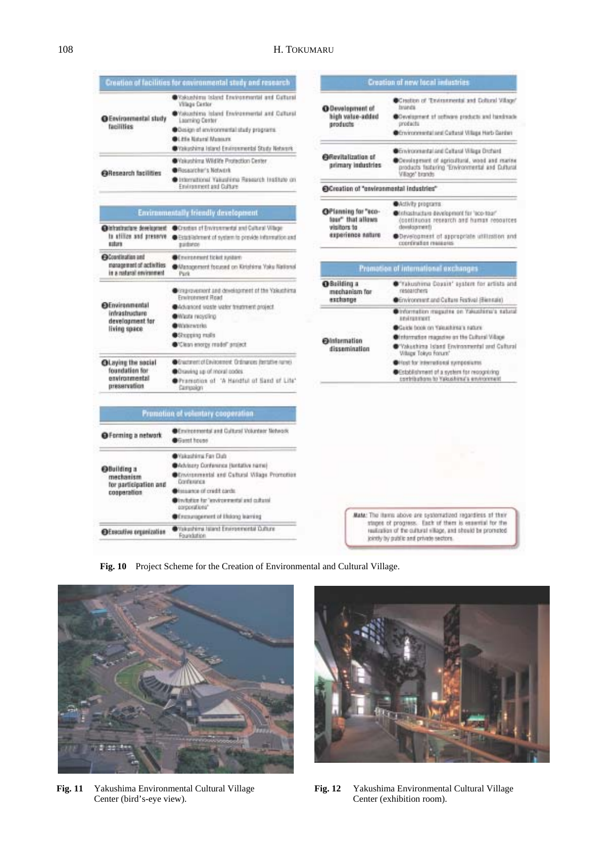|                                                                                  | Creation of facilities for environmental study and research                                                                                                                                                       |                                                                                                                                                               | Creation of new local industries                                                                                                                                              |
|----------------------------------------------------------------------------------|-------------------------------------------------------------------------------------------------------------------------------------------------------------------------------------------------------------------|---------------------------------------------------------------------------------------------------------------------------------------------------------------|-------------------------------------------------------------------------------------------------------------------------------------------------------------------------------|
| <b>OEnvironmental study</b><br>facilities                                        | Wakushima Island Environmental and Dattural<br><b>Village Cantor</b><br>Wiskustens Island Environmental and Cultural<br>Laaming Center<br>· Design of anvironmental study programs<br><b>OLISH Nitsen Mateurs</b> | @Development of<br>high value-added<br>aroduchs                                                                                                               | Creation of Truinstreets and Collaral Village"<br>fantanata.<br>Covergenent of college products and handmade<br>products<br>Covincontratational Cultural Village Hirth Carden |
|                                                                                  | Wakushima Island Environmental Study Network                                                                                                                                                                      |                                                                                                                                                               | Controcesedal and Celtasal Village Driftent                                                                                                                                   |
| <b>Callesearch facilities</b>                                                    | Wakashima Wildlife Protection Center<br><b>@</b> Researcher's Network<br>Differrational Yakuslima Research Institute on                                                                                           | <b>Offevitalization</b> of<br>arimary industries                                                                                                              | Cevelapment of agricultural, wood and marine<br>products fisituring "Environmental and Cultural<br>Village" brands                                                            |
|                                                                                  | Environment and Culture                                                                                                                                                                                           | @Creation of "environmental industries"                                                                                                                       |                                                                                                                                                                               |
|                                                                                  | <b>Environmentally friendly development</b>                                                                                                                                                                       | OPisming for "sco-                                                                                                                                            | <b>O</b> Activity programs                                                                                                                                                    |
|                                                                                  |                                                                                                                                                                                                                   | tour <sup>e</sup> that allows<br>visitors to<br>experience nature                                                                                             | Of releasing the development for 'eco-tour'<br>(continuous research and human resources                                                                                       |
| satura                                                                           | @Infrastructure development @Crostian of Environmental and Cultural Willage<br>In attition and preserve @Estatilishment of system to provide information and<br>pattence                                          |                                                                                                                                                               | development)<br>Development of appropriate utilization and<br>coordination messages                                                                                           |
| <b>OContination and</b><br>management of activities<br>in a rustaral environment | <b>O</b> Conversed ticket system<br>Wanagement focused on Kirishima Yaku National<br>Park                                                                                                                         |                                                                                                                                                               | Promotion of international exchanges                                                                                                                                          |
| <b>OEnvironmental</b><br>inhastructure<br>development for<br>living space        | Circusovement and development of the Valuathima<br>Environment Road                                                                                                                                               | <b>O</b> Building a<br>mechanism for<br>exchange                                                                                                              | "Takushina Coxsis" assters for artists and<br>researchers<br>Crivinonment and Culture Festival (Biennale)                                                                     |
|                                                                                  | Advanced waste water treatment project.<br>Waste neyeting<br><b>O</b> Waterworks                                                                                                                                  | <b>O</b> lnformation<br>dissemination                                                                                                                         | Circomstion magazine on Yakushima's natural<br><b>REVENUES</b>                                                                                                                |
|                                                                                  | <b>O</b> Shopping realis<br>Clean energy model" project                                                                                                                                                           |                                                                                                                                                               | Gaide book on Yakushina's nature<br>Of memotion respective on the Cultural Village<br>Wakashiraa Island Environmental and Caltural                                            |
| <b>OLaying the social</b><br>foundation for<br>environmental<br>preservation     | Grustment of Environment. Ordinances (tentative name).<br>Osaukag sp of moral podes<br>Pramotion of "A Handful of Sand of Life"<br>Campaign                                                                       |                                                                                                                                                               | <b>William Tokyo Forum®</b><br>Offest for international surrocourses.<br>Cstablishment of a system for recognizing<br>contributions to Yakashiraa's environment               |
|                                                                                  | Promotion of voluntary cooperation                                                                                                                                                                                |                                                                                                                                                               |                                                                                                                                                                               |
| O Forming a network                                                              | Controspendal and Cultural Volunteer Network<br>Guest house                                                                                                                                                       |                                                                                                                                                               |                                                                                                                                                                               |
| <b>O</b> Building a<br>mechanism<br>for participation and<br>cosperation         | <b>O</b> Yakashima Fan Dub                                                                                                                                                                                        |                                                                                                                                                               |                                                                                                                                                                               |
|                                                                                  | <b>O</b> Whitery Conference (tentative name)                                                                                                                                                                      |                                                                                                                                                               |                                                                                                                                                                               |
|                                                                                  | Cinvirgemental and Cultural Wilage Promotion<br>Confessores                                                                                                                                                       |                                                                                                                                                               |                                                                                                                                                                               |
|                                                                                  | <b>O</b> lassance of credit cards<br>Directation for "environmental and cultural<br>corporations"                                                                                                                 |                                                                                                                                                               |                                                                                                                                                                               |
|                                                                                  | Of resumperent of Elsiong learning                                                                                                                                                                                | Mate: The items above are systemationt regardless of their                                                                                                    |                                                                                                                                                                               |
| <b>Of reculies organization</b>                                                  | Wakashima Island Environmental Duftune<br>Foundation                                                                                                                                                              | stages of progress. Each of them is exaemial for the<br>realization of the cultural sillage, and should be promoted<br>jointly by public and private sectors. |                                                                                                                                                                               |
|                                                                                  |                                                                                                                                                                                                                   |                                                                                                                                                               |                                                                                                                                                                               |

**Fig. 10** Project Scheme for the Creation of Environmental and Cultural Village.



Center (bird's-eye view). Center (exhibition room).



**Fig. 11** Yakushima Environmental Cultural Village **Fig. 12** Yakushima Environmental Cultural Village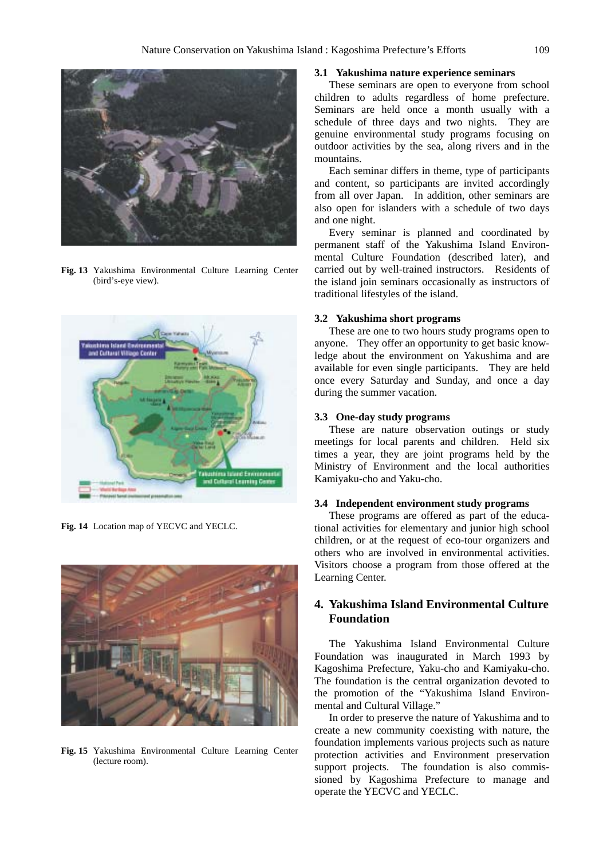

**Fig. 13** Yakushima Environmental Culture Learning Center (bird's-eye view).



**Fig. 14** Location map of YECVC and YECLC.



**Fig. 15** Yakushima Environmental Culture Learning Center (lecture room).

#### **3.1 Yakushima nature experience seminars**

These seminars are open to everyone from school children to adults regardless of home prefecture. Seminars are held once a month usually with a schedule of three days and two nights. They are genuine environmental study programs focusing on outdoor activities by the sea, along rivers and in the mountains.

Each seminar differs in theme, type of participants and content, so participants are invited accordingly from all over Japan. In addition, other seminars are also open for islanders with a schedule of two days and one night.

Every seminar is planned and coordinated by permanent staff of the Yakushima Island Environmental Culture Foundation (described later), and carried out by well-trained instructors. Residents of the island join seminars occasionally as instructors of traditional lifestyles of the island.

## **3.2 Yakushima short programs**

These are one to two hours study programs open to anyone. They offer an opportunity to get basic knowledge about the environment on Yakushima and are available for even single participants. They are held once every Saturday and Sunday, and once a day during the summer vacation.

#### **3.3 One-day study programs**

These are nature observation outings or study meetings for local parents and children. Held six times a year, they are joint programs held by the Ministry of Environment and the local authorities Kamiyaku-cho and Yaku-cho.

#### **3.4 Independent environment study programs**

These programs are offered as part of the educational activities for elementary and junior high school children, or at the request of eco-tour organizers and others who are involved in environmental activities. Visitors choose a program from those offered at the Learning Center.

## **4. Yakushima Island Environmental Culture Foundation**

The Yakushima Island Environmental Culture Foundation was inaugurated in March 1993 by Kagoshima Prefecture, Yaku-cho and Kamiyaku-cho. The foundation is the central organization devoted to the promotion of the "Yakushima Island Environmental and Cultural Village."

In order to preserve the nature of Yakushima and to create a new community coexisting with nature, the foundation implements various projects such as nature protection activities and Environment preservation support projects. The foundation is also commissioned by Kagoshima Prefecture to manage and operate the YECVC and YECLC.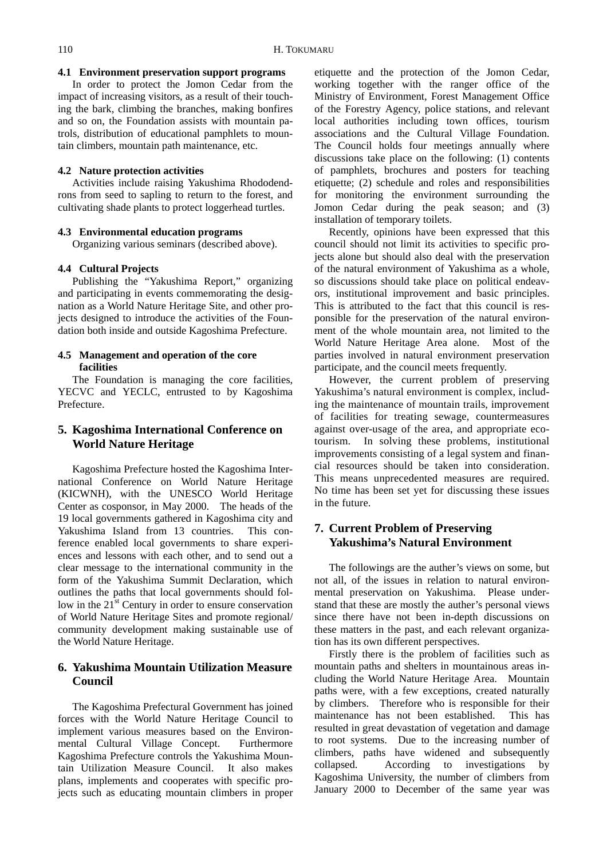#### **4.1 Environment preservation support programs**

In order to protect the Jomon Cedar from the impact of increasing visitors, as a result of their touching the bark, climbing the branches, making bonfires and so on, the Foundation assists with mountain patrols, distribution of educational pamphlets to mountain climbers, mountain path maintenance, etc.

#### **4.2 Nature protection activities**

Activities include raising Yakushima Rhododendrons from seed to sapling to return to the forest, and cultivating shade plants to protect loggerhead turtles.

### **4.3 Environmental education programs**

Organizing various seminars (described above).

#### **4.4 Cultural Projects**

Publishing the "Yakushima Report," organizing and participating in events commemorating the designation as a World Nature Heritage Site, and other projects designed to introduce the activities of the Foundation both inside and outside Kagoshima Prefecture.

## **4.5 Management and operation of the core facilities**

The Foundation is managing the core facilities, YECVC and YECLC, entrusted to by Kagoshima Prefecture.

## **5. Kagoshima International Conference on World Nature Heritage**

Kagoshima Prefecture hosted the Kagoshima International Conference on World Nature Heritage (KICWNH), with the UNESCO World Heritage Center as cosponsor, in May 2000. The heads of the 19 local governments gathered in Kagoshima city and Yakushima Island from 13 countries. This conference enabled local governments to share experiences and lessons with each other, and to send out a clear message to the international community in the form of the Yakushima Summit Declaration, which outlines the paths that local governments should follow in the  $21<sup>st</sup>$  Century in order to ensure conservation of World Nature Heritage Sites and promote regional/ community development making sustainable use of the World Nature Heritage.

## **6. Yakushima Mountain Utilization Measure Council**

The Kagoshima Prefectural Government has joined forces with the World Nature Heritage Council to implement various measures based on the Environmental Cultural Village Concept. Furthermore Kagoshima Prefecture controls the Yakushima Mountain Utilization Measure Council. It also makes plans, implements and cooperates with specific projects such as educating mountain climbers in proper

etiquette and the protection of the Jomon Cedar, working together with the ranger office of the Ministry of Environment, Forest Management Office of the Forestry Agency, police stations, and relevant local authorities including town offices, tourism associations and the Cultural Village Foundation. The Council holds four meetings annually where discussions take place on the following: (1) contents of pamphlets, brochures and posters for teaching etiquette; (2) schedule and roles and responsibilities for monitoring the environment surrounding the Jomon Cedar during the peak season; and (3) installation of temporary toilets.

Recently, opinions have been expressed that this council should not limit its activities to specific projects alone but should also deal with the preservation of the natural environment of Yakushima as a whole, so discussions should take place on political endeavors, institutional improvement and basic principles. This is attributed to the fact that this council is responsible for the preservation of the natural environment of the whole mountain area, not limited to the World Nature Heritage Area alone. Most of the parties involved in natural environment preservation participate, and the council meets frequently.

However, the current problem of preserving Yakushima's natural environment is complex, including the maintenance of mountain trails, improvement of facilities for treating sewage, countermeasures against over-usage of the area, and appropriate ecotourism. In solving these problems, institutional improvements consisting of a legal system and financial resources should be taken into consideration. This means unprecedented measures are required. No time has been set yet for discussing these issues in the future.

## **7. Current Problem of Preserving Yakushima's Natural Environment**

The followings are the auther's views on some, but not all, of the issues in relation to natural environmental preservation on Yakushima. Please understand that these are mostly the auther's personal views since there have not been in-depth discussions on these matters in the past, and each relevant organization has its own different perspectives.

Firstly there is the problem of facilities such as mountain paths and shelters in mountainous areas including the World Nature Heritage Area. Mountain paths were, with a few exceptions, created naturally by climbers. Therefore who is responsible for their maintenance has not been established. This has resulted in great devastation of vegetation and damage to root systems. Due to the increasing number of climbers, paths have widened and subsequently collapsed. According to investigations by Kagoshima University, the number of climbers from January 2000 to December of the same year was